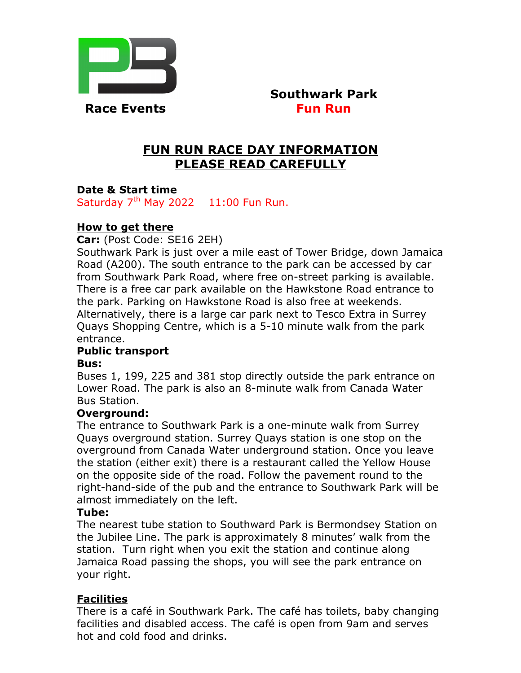

 **Southwark Park Race Events Fun Run** 

# **FUN RUN RACE DAY INFORMATION PLEASE READ CAREFULLY**

# **Date & Start time**

Saturday  $7<sup>th</sup>$  May 2022 11:00 Fun Run.

## **How to get there**

**Car:** (Post Code: SE16 2EH)

Southwark Park is just over a mile east of Tower Bridge, down Jamaica Road (A200). The south entrance to the park can be accessed by car from Southwark Park Road, where free on-street parking is available. There is a free car park available on the Hawkstone Road entrance to the park. Parking on Hawkstone Road is also free at weekends. Alternatively, there is a large car park next to Tesco Extra in Surrey Quays Shopping Centre, which is a 5-10 minute walk from the park entrance.

## **Public transport**

#### **Bus:**

Buses 1, 199, 225 and 381 stop directly outside the park entrance on Lower Road. The park is also an 8-minute walk from Canada Water Bus Station.

#### **Overground:**

The entrance to Southwark Park is a one-minute walk from Surrey Quays overground station. Surrey Quays station is one stop on the overground from Canada Water underground station. Once you leave the station (either exit) there is a restaurant called the Yellow House on the opposite side of the road. Follow the pavement round to the right-hand-side of the pub and the entrance to Southwark Park will be almost immediately on the left.

#### **Tube:**

The nearest tube station to Southward Park is Bermondsey Station on the Jubilee Line. The park is approximately 8 minutes' walk from the station. Turn right when you exit the station and continue along Jamaica Road passing the shops, you will see the park entrance on your right.

## **Facilities**

There is a café in Southwark Park. The café has toilets, baby changing facilities and disabled access. The café is open from 9am and serves hot and cold food and drinks.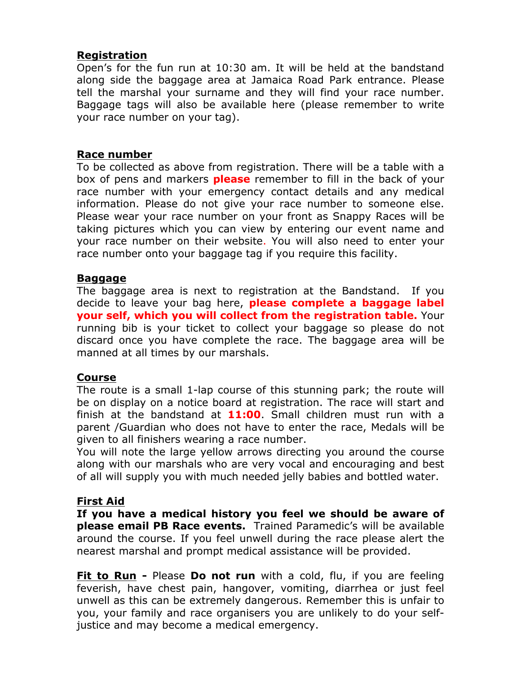# **Registration**

Open's for the fun run at 10:30 am. It will be held at the bandstand along side the baggage area at Jamaica Road Park entrance. Please tell the marshal your surname and they will find your race number. Baggage tags will also be available here (please remember to write your race number on your tag).

#### **Race number**

To be collected as above from registration. There will be a table with a box of pens and markers **please** remember to fill in the back of your race number with your emergency contact details and any medical information. Please do not give your race number to someone else. Please wear your race number on your front as Snappy Races will be taking pictures which you can view by entering our event name and your race number on their website. You will also need to enter your race number onto your baggage tag if you require this facility.

#### **Baggage**

The baggage area is next to registration at the Bandstand. If you decide to leave your bag here, **please complete a baggage label your self, which you will collect from the registration table.** Your running bib is your ticket to collect your baggage so please do not discard once you have complete the race. The baggage area will be manned at all times by our marshals.

## **Course**

The route is a small 1-lap course of this stunning park; the route will be on display on a notice board at registration. The race will start and finish at the bandstand at **11:00**. Small children must run with a parent /Guardian who does not have to enter the race, Medals will be given to all finishers wearing a race number.

You will note the large yellow arrows directing you around the course along with our marshals who are very vocal and encouraging and best of all will supply you with much needed jelly babies and bottled water.

## **First Aid**

**If you have a medical history you feel we should be aware of please email PB Race events.** Trained Paramedic's will be available around the course. If you feel unwell during the race please alert the nearest marshal and prompt medical assistance will be provided.

**Fit to Run -** Please **Do not run** with a cold, flu, if you are feeling feverish, have chest pain, hangover, vomiting, diarrhea or just feel unwell as this can be extremely dangerous. Remember this is unfair to you, your family and race organisers you are unlikely to do your selfjustice and may become a medical emergency.